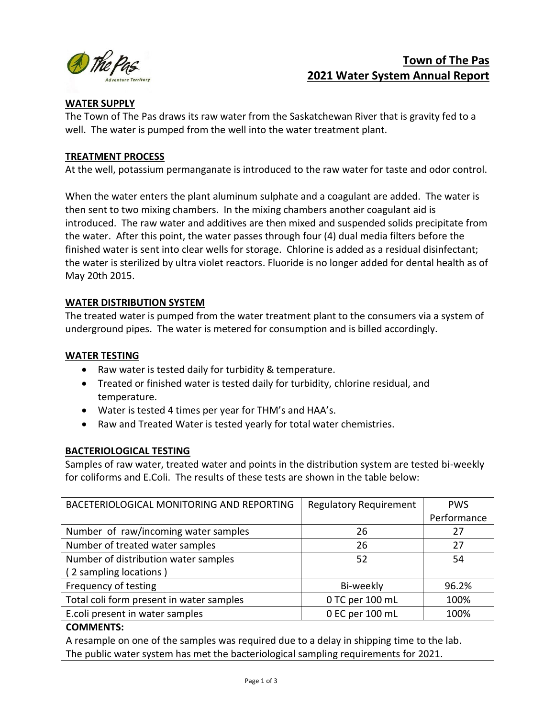

# **Town of The Pas 2021 Water System Annual Report**

# **WATER SUPPLY**

The Town of The Pas draws its raw water from the Saskatchewan River that is gravity fed to a well. The water is pumped from the well into the water treatment plant.

### **TREATMENT PROCESS**

At the well, potassium permanganate is introduced to the raw water for taste and odor control.

When the water enters the plant aluminum sulphate and a coagulant are added. The water is then sent to two mixing chambers. In the mixing chambers another coagulant aid is introduced. The raw water and additives are then mixed and suspended solids precipitate from the water. After this point, the water passes through four (4) dual media filters before the finished water is sent into clear wells for storage. Chlorine is added as a residual disinfectant; the water is sterilized by ultra violet reactors. Fluoride is no longer added for dental health as of May 20th 2015.

### **WATER DISTRIBUTION SYSTEM**

The treated water is pumped from the water treatment plant to the consumers via a system of underground pipes. The water is metered for consumption and is billed accordingly.

### **WATER TESTING**

- Raw water is tested daily for turbidity & temperature.
- Treated or finished water is tested daily for turbidity, chlorine residual, and temperature.
- Water is tested 4 times per year for THM's and HAA's.
- Raw and Treated Water is tested yearly for total water chemistries.

### **BACTERIOLOGICAL TESTING**

Samples of raw water, treated water and points in the distribution system are tested bi-weekly for coliforms and E.Coli. The results of these tests are shown in the table below:

| BACETERIOLOGICAL MONITORING AND REPORTING | <b>Regulatory Requirement</b> | <b>PWS</b>  |
|-------------------------------------------|-------------------------------|-------------|
|                                           |                               | Performance |
| Number of raw/incoming water samples      | 26                            | 27          |
| Number of treated water samples           | 26                            | 27          |
| Number of distribution water samples      | 52                            | 54          |
| (2 sampling locations)                    |                               |             |
| Frequency of testing                      | Bi-weekly                     | 96.2%       |
| Total coli form present in water samples  | 0 TC per 100 mL               | 100%        |
| E.coli present in water samples           | 0 EC per 100 mL               | 100%        |
|                                           |                               |             |

### **COMMENTS:**

A resample on one of the samples was required due to a delay in shipping time to the lab. The public water system has met the bacteriological sampling requirements for 2021.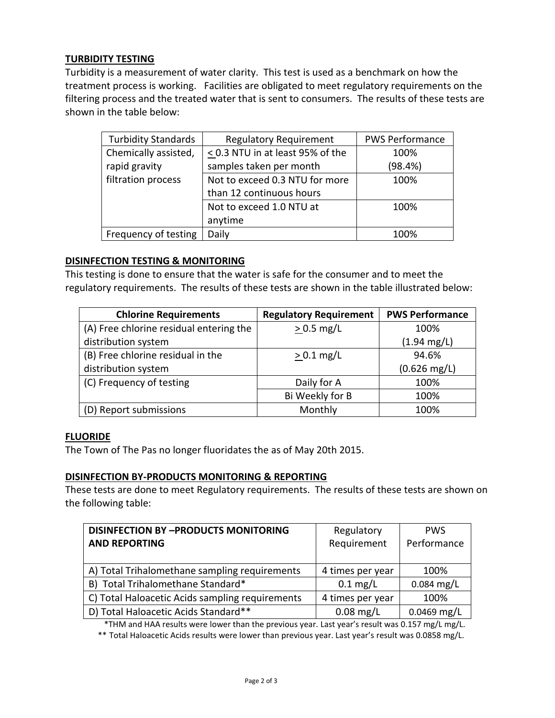# **TURBIDITY TESTING**

Turbidity is a measurement of water clarity. This test is used as a benchmark on how the treatment process is working. Facilities are obligated to meet regulatory requirements on the filtering process and the treated water that is sent to consumers. The results of these tests are shown in the table below:

| <b>Turbidity Standards</b> | <b>Regulatory Requirement</b>         | <b>PWS Performance</b> |
|----------------------------|---------------------------------------|------------------------|
| Chemically assisted,       | $\leq$ 0.3 NTU in at least 95% of the | 100%                   |
| rapid gravity              | samples taken per month               | (98.4%)                |
| filtration process         | Not to exceed 0.3 NTU for more        | 100%                   |
|                            | than 12 continuous hours              |                        |
|                            | Not to exceed 1.0 NTU at              | 100%                   |
|                            | anytime                               |                        |
| Frequency of testing       | Daily                                 | 100%                   |

### **DISINFECTION TESTING & MONITORING**

This testing is done to ensure that the water is safe for the consumer and to meet the regulatory requirements. The results of these tests are shown in the table illustrated below:

| <b>Chlorine Requirements</b>            | <b>Regulatory Requirement</b> | <b>PWS Performance</b> |
|-----------------------------------------|-------------------------------|------------------------|
| (A) Free chlorine residual entering the | $> 0.5$ mg/L                  | 100%                   |
| distribution system                     |                               | $(1.94 \text{ mg/L})$  |
| (B) Free chlorine residual in the       | $> 0.1$ mg/L                  | 94.6%                  |
| distribution system                     |                               | $(0.626 \text{ mg/L})$ |
| (C) Frequency of testing                | Daily for A                   | 100%                   |
|                                         | Bi Weekly for B               | 100%                   |
| (D) Report submissions                  | Monthly                       | 100%                   |

### **FLUORIDE**

The Town of The Pas no longer fluoridates the as of May 20th 2015.

### **DISINFECTION BY-PRODUCTS MONITORING & REPORTING**

These tests are done to meet Regulatory requirements. The results of these tests are shown on the following table:

| <b>DISINFECTION BY -PRODUCTS MONITORING</b>     | Regulatory         | <b>PWS</b>    |
|-------------------------------------------------|--------------------|---------------|
| <b>AND REPORTING</b>                            | Requirement        | Performance   |
|                                                 |                    |               |
| A) Total Trihalomethane sampling requirements   | 4 times per year   | 100%          |
| B) Total Trihalomethane Standard*               | $0.1 \text{ mg/L}$ | $0.084$ mg/L  |
| C) Total Haloacetic Acids sampling requirements | 4 times per year   | 100%          |
| D) Total Haloacetic Acids Standard**            | $0.08$ mg/L        | $0.0469$ mg/L |

\*THM and HAA results were lower than the previous year. Last year's result was 0.157 mg/L mg/L.

\*\* Total Haloacetic Acids results were lower than previous year. Last year's result was 0.0858 mg/L.